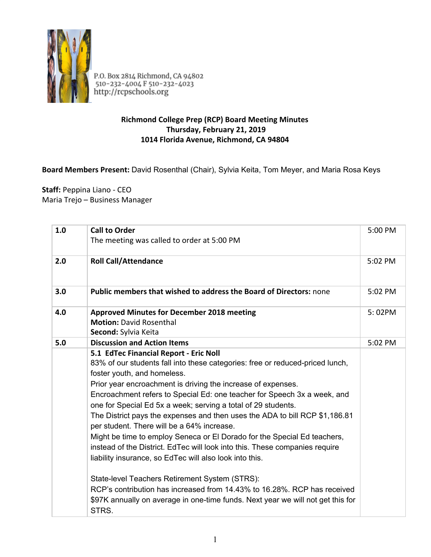

P.O. Box 2814 Richmond, CA 94802<br>510-232-4004 F 510-232-4023<br>http://rcpschools.org

## **Richmond College Prep (RCP) Board Meeting Minutes Thursday, February 21, 2019 1014 Florida Avenue, Richmond, CA 94804**

## **Board Members Present:** David Rosenthal (Chair), Sylvia Keita, Tom Meyer, and Maria Rosa Keys

**Staff:** Peppina Liano - CEO Maria Trejo – Business Manager

| 1.0 | <b>Call to Order</b><br>The meeting was called to order at 5:00 PM                                                                                                                                                                                                                                                                                                                                                                                                                                                                                                                                                                                                                                                                                                       | 5:00 PM |
|-----|--------------------------------------------------------------------------------------------------------------------------------------------------------------------------------------------------------------------------------------------------------------------------------------------------------------------------------------------------------------------------------------------------------------------------------------------------------------------------------------------------------------------------------------------------------------------------------------------------------------------------------------------------------------------------------------------------------------------------------------------------------------------------|---------|
| 2.0 | <b>Roll Call/Attendance</b>                                                                                                                                                                                                                                                                                                                                                                                                                                                                                                                                                                                                                                                                                                                                              | 5:02 PM |
| 3.0 | <b>Public members that wished to address the Board of Directors: none</b>                                                                                                                                                                                                                                                                                                                                                                                                                                                                                                                                                                                                                                                                                                | 5:02 PM |
| 4.0 | <b>Approved Minutes for December 2018 meeting</b><br><b>Motion: David Rosenthal</b><br>Second: Sylvia Keita                                                                                                                                                                                                                                                                                                                                                                                                                                                                                                                                                                                                                                                              | 5:02PM  |
| 5.0 | <b>Discussion and Action Items</b>                                                                                                                                                                                                                                                                                                                                                                                                                                                                                                                                                                                                                                                                                                                                       | 5:02 PM |
|     | 5.1 EdTec Financial Report - Eric Noll<br>83% of our students fall into these categories: free or reduced-priced lunch,<br>foster youth, and homeless.<br>Prior year encroachment is driving the increase of expenses.<br>Encroachment refers to Special Ed: one teacher for Speech 3x a week, and<br>one for Special Ed 5x a week; serving a total of 29 students.<br>The District pays the expenses and then uses the ADA to bill RCP \$1,186.81<br>per student. There will be a 64% increase.<br>Might be time to employ Seneca or El Dorado for the Special Ed teachers,<br>instead of the District. EdTec will look into this. These companies require<br>liability insurance, so EdTec will also look into this.<br>State-level Teachers Retirement System (STRS): |         |
|     | RCP's contribution has increased from 14.43% to 16.28%. RCP has received<br>\$97K annually on average in one-time funds. Next year we will not get this for<br>STRS.                                                                                                                                                                                                                                                                                                                                                                                                                                                                                                                                                                                                     |         |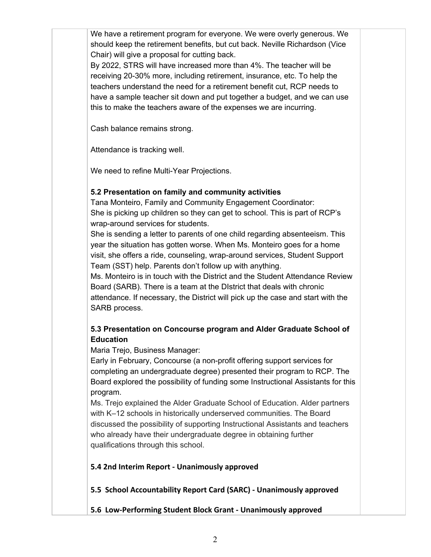We have a retirement program for everyone. We were overly generous. We should keep the retirement benefits, but cut back. Neville Richardson (Vice Chair) will give a proposal for cutting back.

By 2022, STRS will have increased more than 4%. The teacher will be receiving 20-30% more, including retirement, insurance, etc. To help the teachers understand the need for a retirement benefit cut, RCP needs to have a sample teacher sit down and put together a budget, and we can use this to make the teachers aware of the expenses we are incurring.

Cash balance remains strong.

Attendance is tracking well.

We need to refine Multi-Year Projections.

## **5.2 Presentation on family and community activities**

Tana Monteiro, Family and Community Engagement Coordinator: She is picking up children so they can get to school. This is part of RCP's wrap-around services for students.

She is sending a letter to parents of one child regarding absenteeism. This year the situation has gotten worse. When Ms. Monteiro goes for a home visit, she offers a ride, counseling, wrap-around services, Student Support Team (SST) help. Parents don't follow up with anything.

Ms. Monteiro is in touch with the District and the Student Attendance Review Board (SARB). There is a team at the DIstrict that deals with chronic attendance. If necessary, the District will pick up the case and start with the SARB process.

## **5.3 Presentation on Concourse program and Alder Graduate School of Education**

Maria Trejo, Business Manager:

Early in February, Concourse (a non-profit offering support services for completing an undergraduate degree) presented their program to RCP. The Board explored the possibility of funding some Instructional Assistants for this program.

Ms. Trejo explained the Alder Graduate School of Education. Alder partners with K–12 schools in historically underserved communities. The Board discussed the possibility of supporting Instructional Assistants and teachers who already have their undergraduate degree in obtaining further qualifications through this school.

**5.4 2nd Interim Report - Unanimously approved**

**5.5 School Accountability Report Card (SARC) - Unanimously approved**

**5.6 Low-Performing Student Block Grant - Unanimously approved**